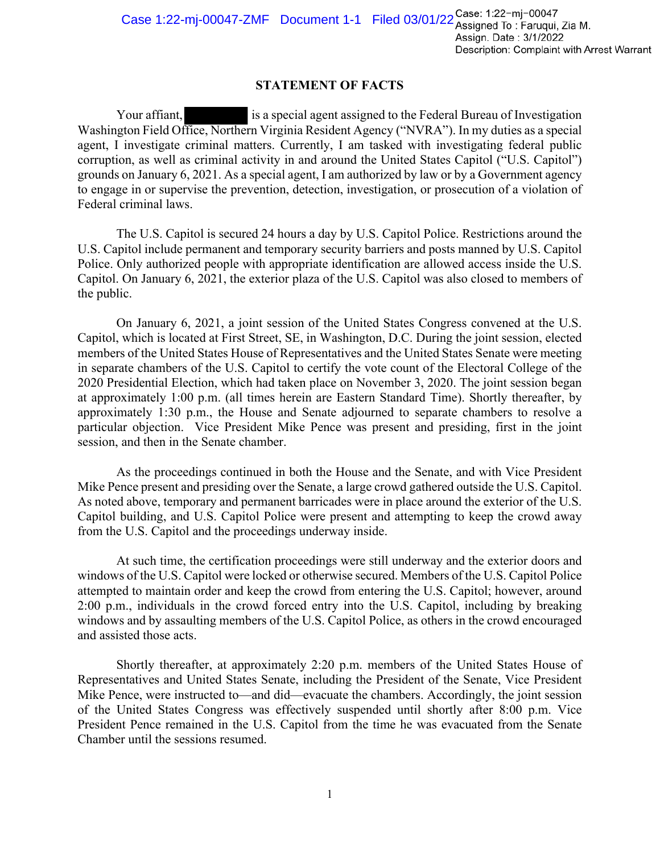## **STATEMENT OF FACTS**

Your affiant, is a special agent assigned to the Federal Bureau of Investigation Washington Field Office, Northern Virginia Resident Agency ("NVRA"). In my duties as a special agent, I investigate criminal matters. Currently, I am tasked with investigating federal public corruption, as well as criminal activity in and around the United States Capitol ("U.S. Capitol") grounds on January 6, 2021. As a special agent, I am authorized by law or by a Government agency to engage in or supervise the prevention, detection, investigation, or prosecution of a violation of Federal criminal laws.

The U.S. Capitol is secured 24 hours a day by U.S. Capitol Police. Restrictions around the U.S. Capitol include permanent and temporary security barriers and posts manned by U.S. Capitol Police. Only authorized people with appropriate identification are allowed access inside the U.S. Capitol. On January 6, 2021, the exterior plaza of the U.S. Capitol was also closed to members of the public.

On January 6, 2021, a joint session of the United States Congress convened at the U.S. Capitol, which is located at First Street, SE, in Washington, D.C. During the joint session, elected members of the United States House of Representatives and the United States Senate were meeting in separate chambers of the U.S. Capitol to certify the vote count of the Electoral College of the 2020 Presidential Election, which had taken place on November 3, 2020. The joint session began at approximately 1:00 p.m. (all times herein are Eastern Standard Time). Shortly thereafter, by approximately 1:30 p.m., the House and Senate adjourned to separate chambers to resolve a particular objection. Vice President Mike Pence was present and presiding, first in the joint session, and then in the Senate chamber.

As the proceedings continued in both the House and the Senate, and with Vice President Mike Pence present and presiding over the Senate, a large crowd gathered outside the U.S. Capitol. As noted above, temporary and permanent barricades were in place around the exterior of the U.S. Capitol building, and U.S. Capitol Police were present and attempting to keep the crowd away from the U.S. Capitol and the proceedings underway inside.

At such time, the certification proceedings were still underway and the exterior doors and windows of the U.S. Capitol were locked or otherwise secured. Members of the U.S. Capitol Police attempted to maintain order and keep the crowd from entering the U.S. Capitol; however, around 2:00 p.m., individuals in the crowd forced entry into the U.S. Capitol, including by breaking windows and by assaulting members of the U.S. Capitol Police, as others in the crowd encouraged and assisted those acts.

Shortly thereafter, at approximately 2:20 p.m. members of the United States House of Representatives and United States Senate, including the President of the Senate, Vice President Mike Pence, were instructed to—and did—evacuate the chambers. Accordingly, the joint session of the United States Congress was effectively suspended until shortly after 8:00 p.m. Vice President Pence remained in the U.S. Capitol from the time he was evacuated from the Senate Chamber until the sessions resumed.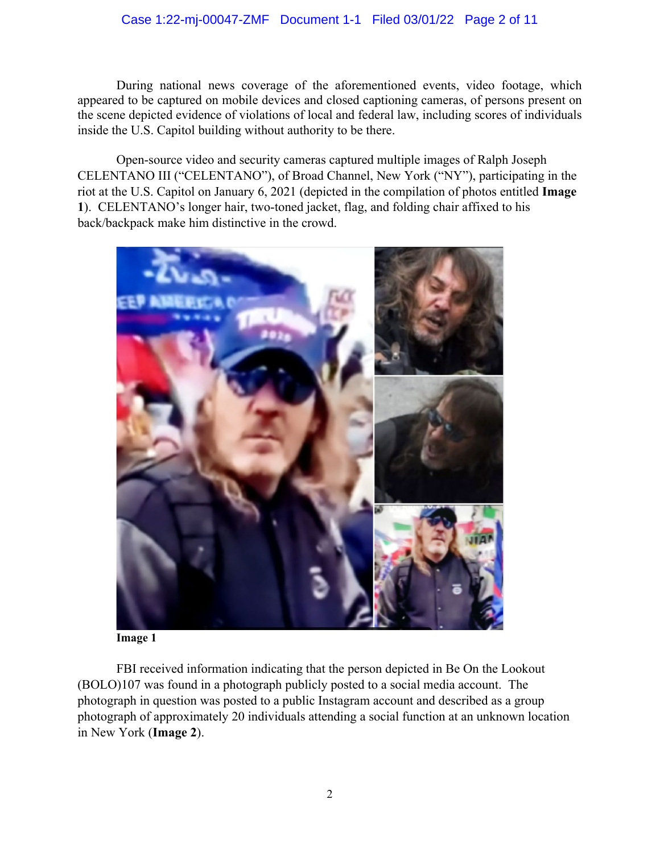## Case 1:22-mj-00047-ZMF Document 1-1 Filed 03/01/22 Page 2 of 11

During national news coverage of the aforementioned events, video footage, which appeared to be captured on mobile devices and closed captioning cameras, of persons present on the scene depicted evidence of violations of local and federal law, including scores of individuals inside the U.S. Capitol building without authority to be there.

Open-source video and security cameras captured multiple images of Ralph Joseph CELENTANO III ("CELENTANO"), of Broad Channel, New York ("NY"), participating in the riot at the U.S. Capitol on January 6, 2021 (depicted in the compilation of photos entitled **Image 1**). CELENTANO's longer hair, two-toned jacket, flag, and folding chair affixed to his back/backpack make him distinctive in the crowd.



**Image 1**

FBI received information indicating that the person depicted in Be On the Lookout (BOLO)107 was found in a photograph publicly posted to a social media account. The photograph in question was posted to a public Instagram account and described as a group photograph of approximately 20 individuals attending a social function at an unknown location in New York (**Image 2**).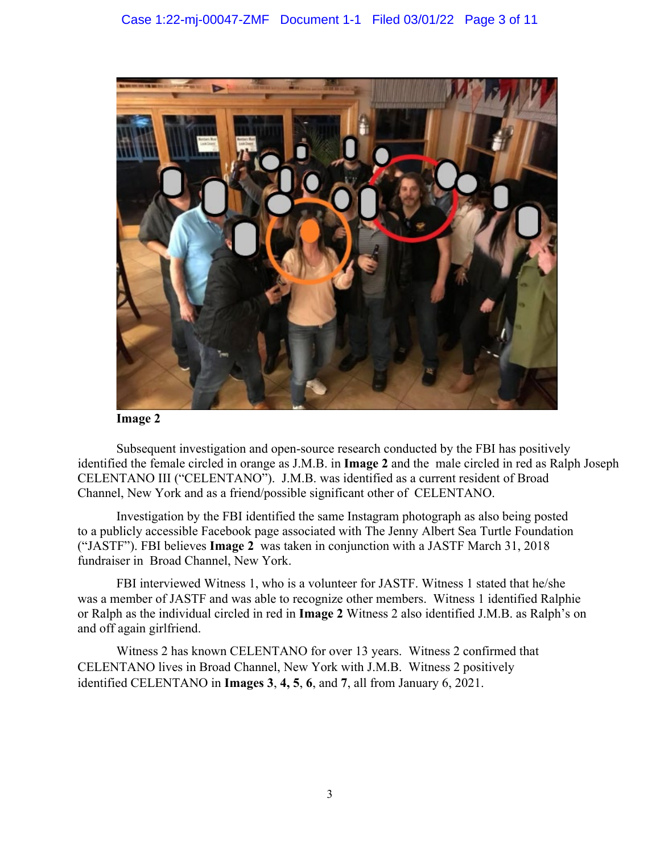

**Image 2** 

Subsequent investigation and open-source research conducted by the FBI has positively identified the female circled in orange as J.M.B. in **Image 2** and the male circled in red as Ralph Joseph CELENTANO III ("CELENTANO"). J.M.B. was identified as a current resident of Broad Channel, New York and as a friend/possible significant other of CELENTANO.

Investigation by the FBI identified the same Instagram photograph as also being posted to a publicly accessible Facebook page associated with The Jenny Albert Sea Turtle Foundation ("JASTF"). FBI believes **Image 2** was taken in conjunction with a JASTF March 31, 2018 fundraiser in Broad Channel, New York.

FBI interviewed Witness 1, who is a volunteer for JASTF. Witness 1 stated that he/she was a member of JASTF and was able to recognize other members. Witness 1 identified Ralphie or Ralph as the individual circled in red in **Image 2** Witness 2 also identified J.M.B. as Ralph's on and off again girlfriend.

Witness 2 has known CELENTANO for over 13 years. Witness 2 confirmed that CELENTANO lives in Broad Channel, New York with J.M.B. Witness 2 positively identified CELENTANO in **Images 3**, **4, 5**, **6**, and **7**, all from January 6, 2021.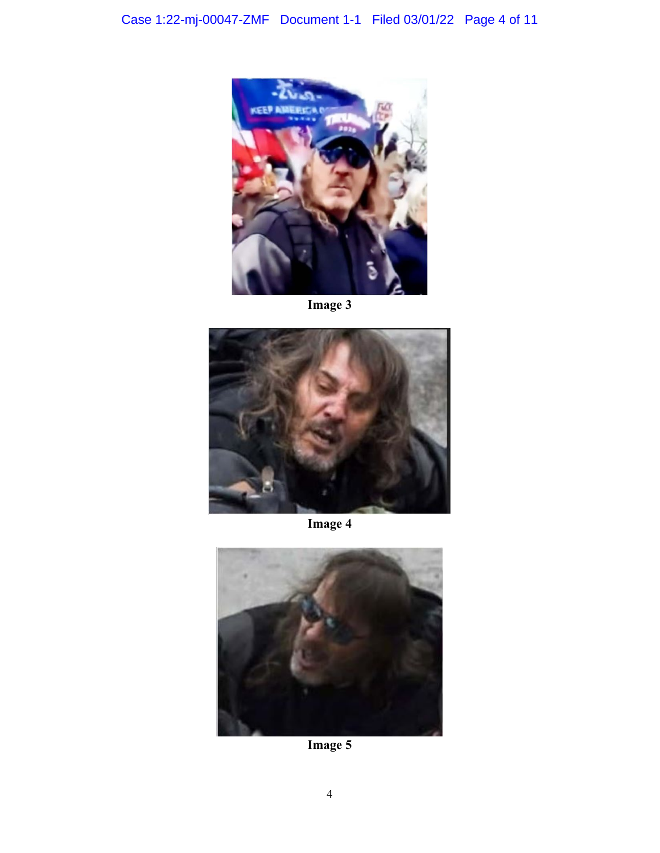

**Image 3** 



**Image 4** 



**Image 5**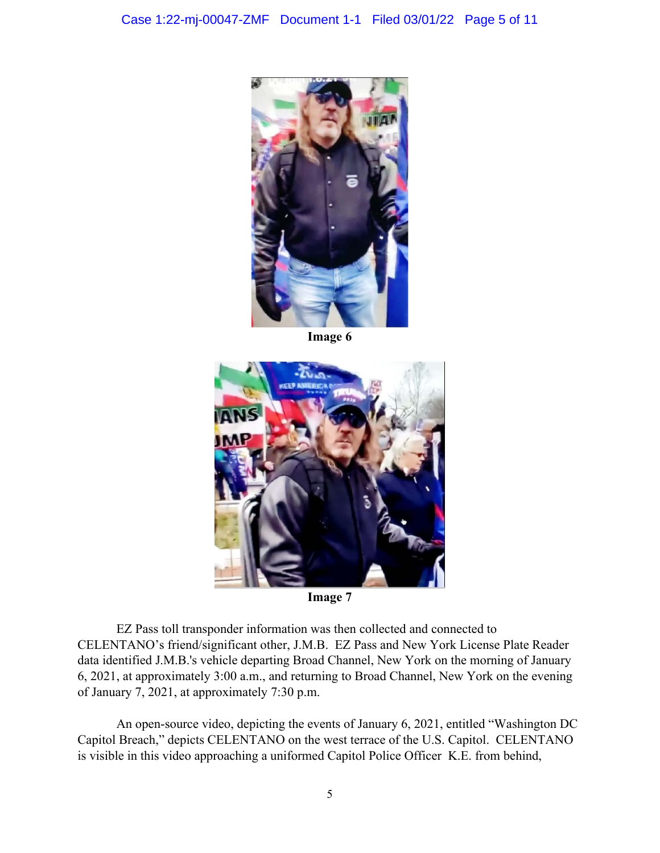

**Image 6** 



**Image 7** 

EZ Pass toll transponder information was then collected and connected to CELENTANO's friend/significant other, J.M.B. EZ Pass and New York License Plate Reader data identified J.M.B.'s vehicle departing Broad Channel, New York on the morning of January 6, 2021, at approximately 3:00 a.m., and returning to Broad Channel, New York on the evening of January 7, 2021, at approximately 7:30 p.m.

An open-source video, depicting the events of January 6, 2021, entitled "Washington DC Capitol Breach," depicts CELENTANO on the west terrace of the U.S. Capitol. CELENTANO is visible in this video approaching a uniformed Capitol Police Officer K.E. from behind,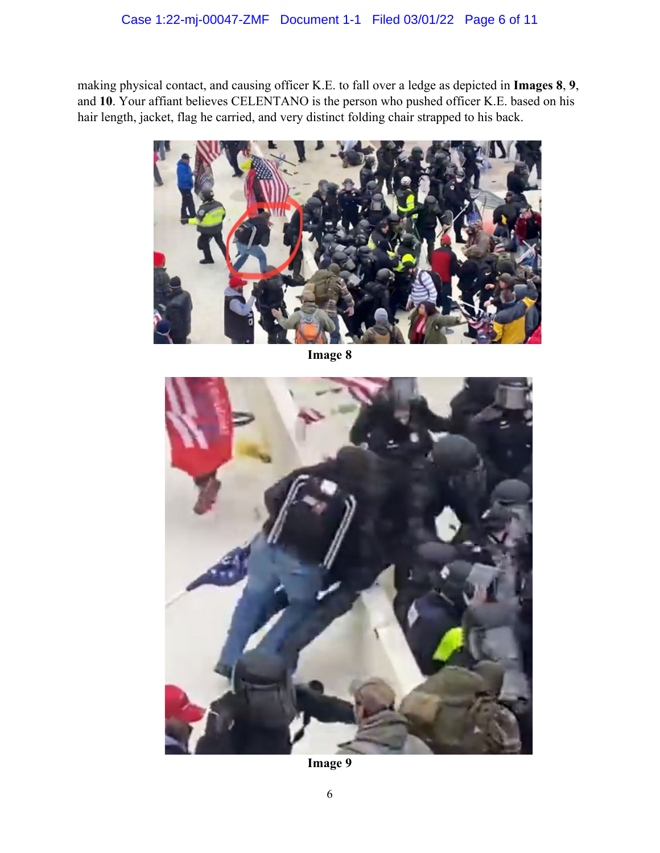making physical contact, and causing officer K.E. to fall over a ledge as depicted in **Images 8**, **9**, and **10**. Your affiant believes CELENTANO is the person who pushed officer K.E. based on his hair length, jacket, flag he carried, and very distinct folding chair strapped to his back.



**Image 8**



**Image 9**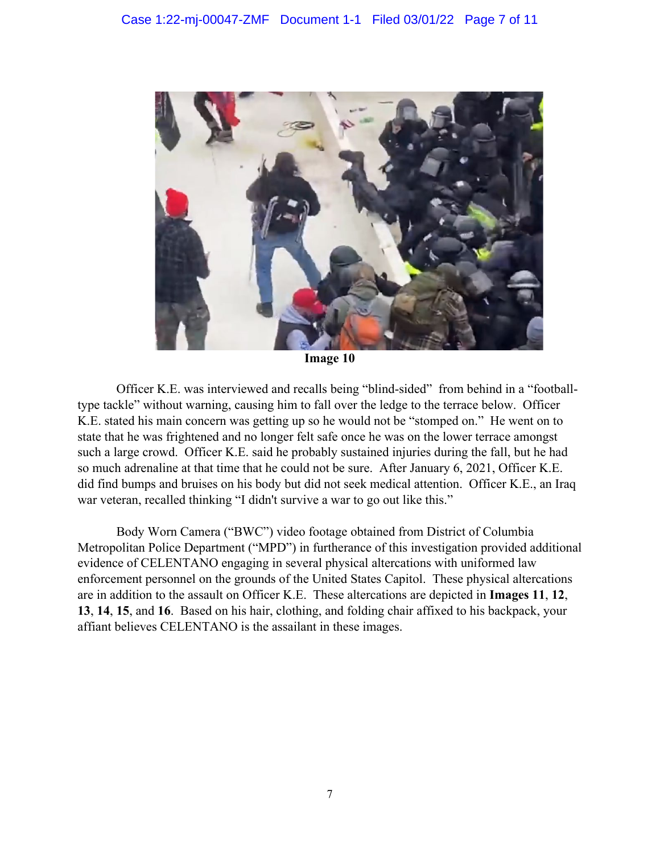

**Image 10**

Officer K.E. was interviewed and recalls being "blind-sided" from behind in a "footballtype tackle" without warning, causing him to fall over the ledge to the terrace below. Officer K.E. stated his main concern was getting up so he would not be "stomped on." He went on to state that he was frightened and no longer felt safe once he was on the lower terrace amongst such a large crowd. Officer K.E. said he probably sustained injuries during the fall, but he had so much adrenaline at that time that he could not be sure. After January 6, 2021, Officer K.E. did find bumps and bruises on his body but did not seek medical attention. Officer K.E., an Iraq war veteran, recalled thinking "I didn't survive a war to go out like this."

Body Worn Camera ("BWC") video footage obtained from District of Columbia Metropolitan Police Department ("MPD") in furtherance of this investigation provided additional evidence of CELENTANO engaging in several physical altercations with uniformed law enforcement personnel on the grounds of the United States Capitol. These physical altercations are in addition to the assault on Officer K.E. These altercations are depicted in **Images 11**, **12**, **13**, **14**, **15**, and **16**. Based on his hair, clothing, and folding chair affixed to his backpack, your affiant believes CELENTANO is the assailant in these images.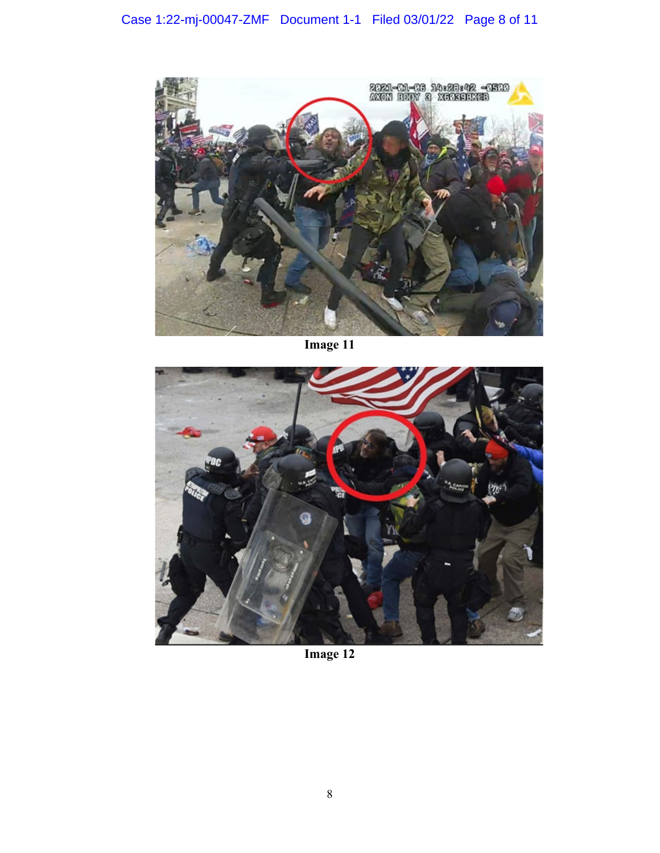

**Image 11**



**Image 12**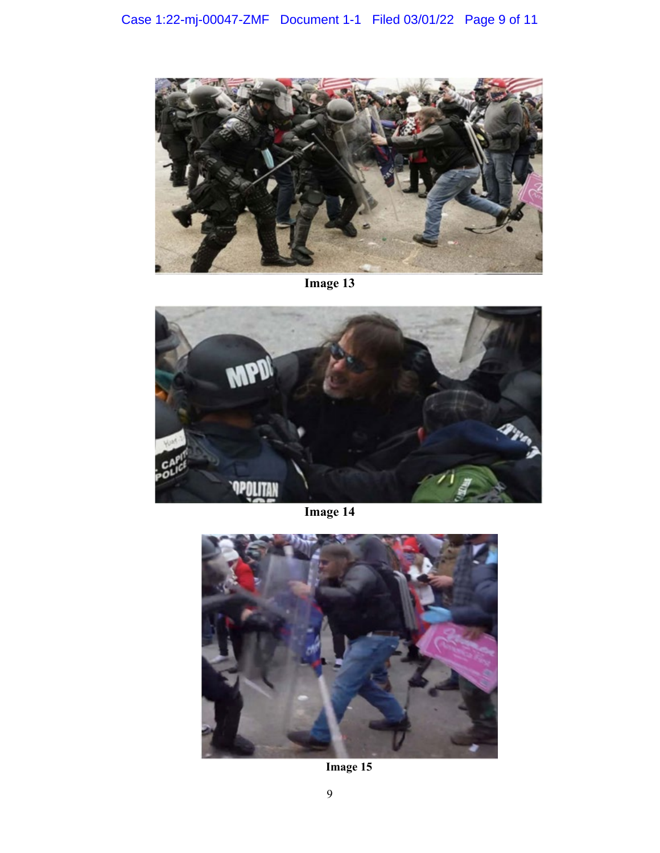

**Image 13** 



**Image 14**



**Image 15**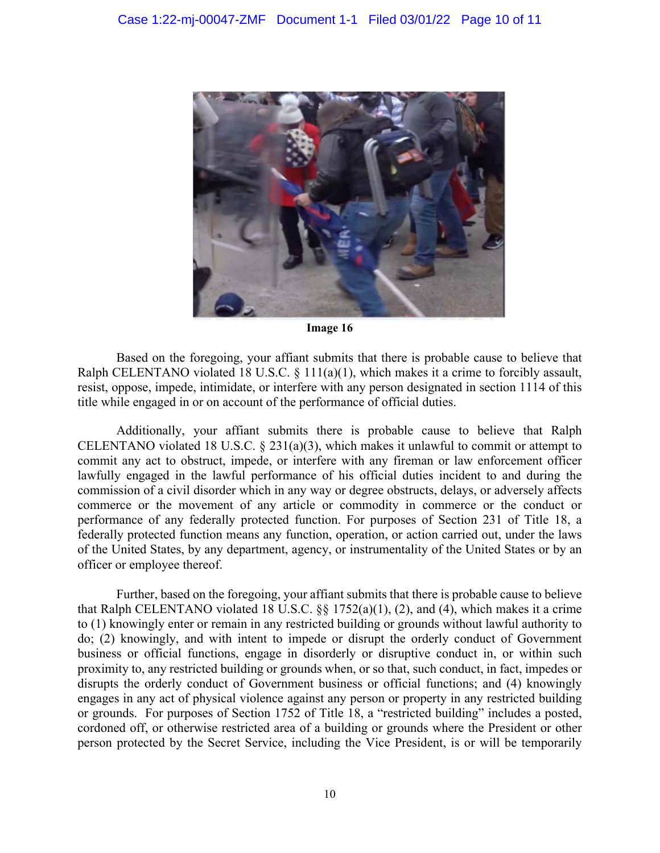

**Image 16**

Based on the foregoing, your affiant submits that there is probable cause to believe that Ralph CELENTANO violated 18 U.S.C. § 111(a)(1), which makes it a crime to forcibly assault, resist, oppose, impede, intimidate, or interfere with any person designated in section 1114 of this title while engaged in or on account of the performance of official duties.

Additionally, your affiant submits there is probable cause to believe that Ralph CELENTANO violated 18 U.S.C. § 231(a)(3), which makes it unlawful to commit or attempt to commit any act to obstruct, impede, or interfere with any fireman or law enforcement officer lawfully engaged in the lawful performance of his official duties incident to and during the commission of a civil disorder which in any way or degree obstructs, delays, or adversely affects commerce or the movement of any article or commodity in commerce or the conduct or performance of any federally protected function. For purposes of Section 231 of Title 18, a federally protected function means any function, operation, or action carried out, under the laws of the United States, by any department, agency, or instrumentality of the United States or by an officer or employee thereof.

Further, based on the foregoing, your affiant submits that there is probable cause to believe that Ralph CELENTANO violated 18 U.S.C. §§ 1752(a)(1), (2), and (4), which makes it a crime to (1) knowingly enter or remain in any restricted building or grounds without lawful authority to do; (2) knowingly, and with intent to impede or disrupt the orderly conduct of Government business or official functions, engage in disorderly or disruptive conduct in, or within such proximity to, any restricted building or grounds when, or so that, such conduct, in fact, impedes or disrupts the orderly conduct of Government business or official functions; and (4) knowingly engages in any act of physical violence against any person or property in any restricted building or grounds. For purposes of Section 1752 of Title 18, a "restricted building" includes a posted, cordoned off, or otherwise restricted area of a building or grounds where the President or other person protected by the Secret Service, including the Vice President, is or will be temporarily